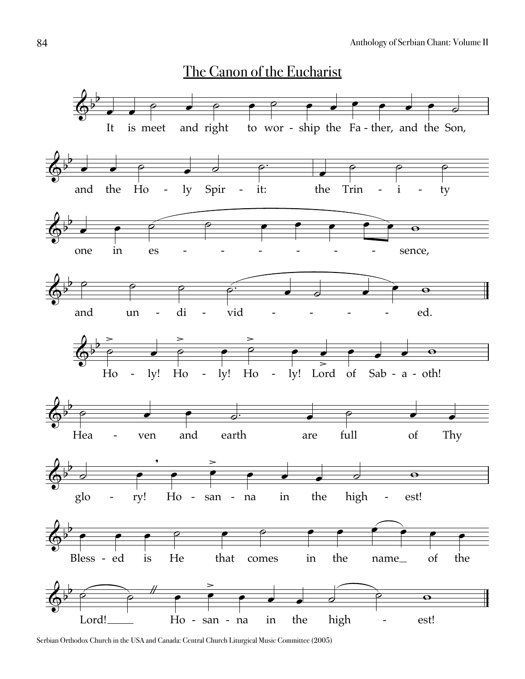

Serbian Orthodox Church in the USA and Canada: Central Church Liturgical Music Committee (2005)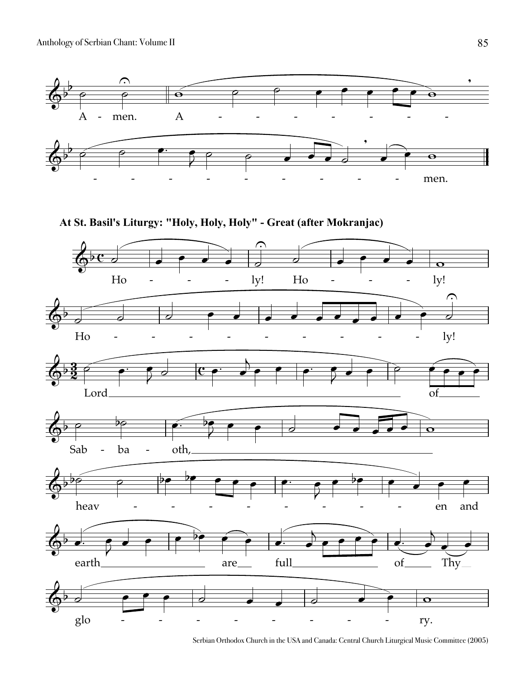

Serbian Orthodox Church in the USA and Canada: Central Church Liturgical Music Committee (2005)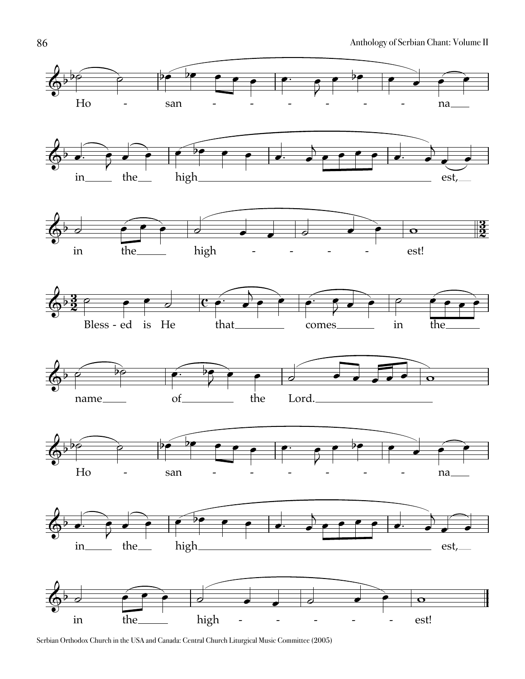

Serbian Orthodox Church in the USA and Canada: Central Church Liturgical Music Committee (2005)